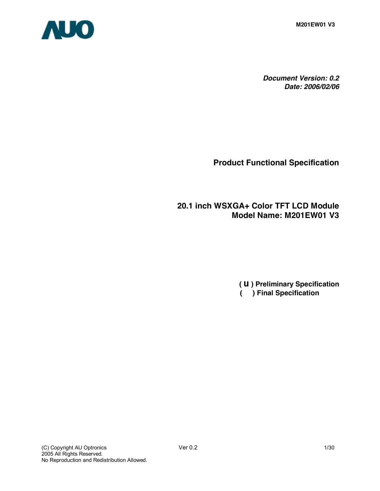

*Document Version: 0.2 Date: 2006/02/06*

**Product Functional Specification**

**20.1 inch WSXGA+ Color TFT LCD Module Model Name: M201EW01 V3** 

> **(** u **) Preliminary Specification ( ) Final Specification**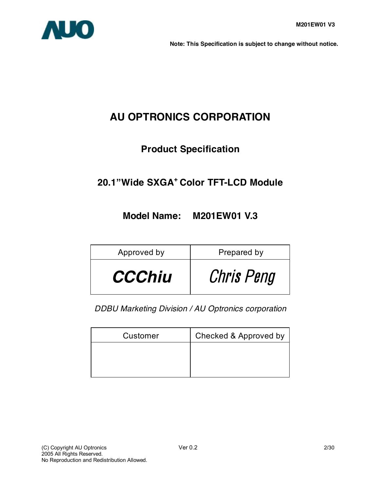

**Note: This Specification is subject to change without notice.**

# **AU OPTRONICS CORPORATION**

# **Product Specification**

# **20.1"Wide SXGA+ Color TFT-LCD Module**

# **Model Name: M201EW01 V.3**

| Approved by   | Prepared by |
|---------------|-------------|
| <b>CCChiu</b> | Chris Peng  |

*DDBU Marketing Division / AU Optronics corporation*

| Customer | Checked & Approved by |
|----------|-----------------------|
|          |                       |
|          |                       |
|          |                       |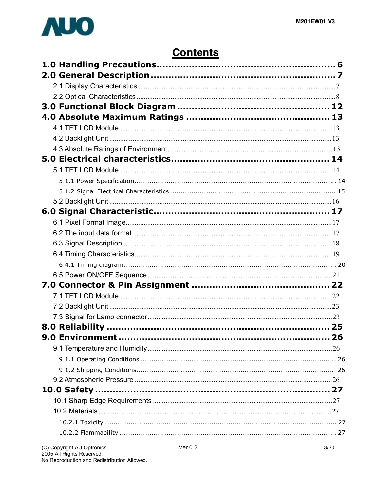

# **Contents**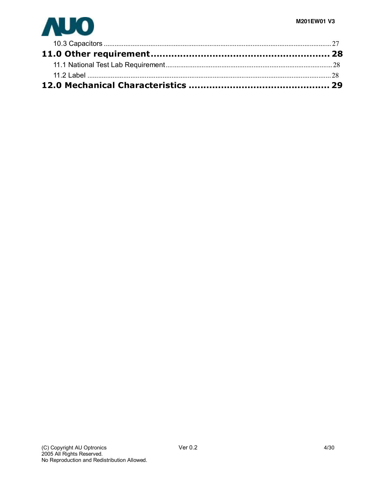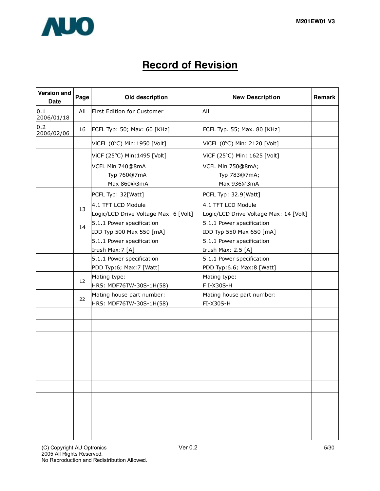

# **Record of Revision**

| Version and<br><b>Date</b> | Page<br>Old description                        |                                                             | <b>New Description</b>                                       | Remark |
|----------------------------|------------------------------------------------|-------------------------------------------------------------|--------------------------------------------------------------|--------|
| 0.1<br>2006/01/18          | All                                            | First Edition for Customer                                  | All                                                          |        |
| 0.2<br>2006/02/06          | 16                                             | FCFL Typ: 50; Max: 60 [KHz]                                 | FCFL Typ. 55; Max. 80 [KHz]                                  |        |
|                            |                                                | ViCFL (0°C) Min: 1950 [Volt]                                | ViCFL (0°C) Min: 2120 [Volt]                                 |        |
|                            |                                                | ViCF (25°C) Min:1495 [Volt]                                 | ViCF (25°C) Min: 1625 [Volt]                                 |        |
|                            | VCFL Min 740@8mA<br>Typ 760@7mA<br>Max 860@3mA |                                                             | VCFL Min 750@8mA;<br>Typ 783@7mA;<br>Max 936@3mA             |        |
|                            |                                                | PCFL Typ: 32[Watt]                                          | PCFL Typ: 32.9[Watt]                                         |        |
|                            | 13                                             | 4.1 TFT LCD Module<br>Logic/LCD Drive Voltage Max: 6 [Volt] | 4.1 TFT LCD Module<br>Logic/LCD Drive Voltage Max: 14 [Volt] |        |
|                            | 14                                             | 5.1.1 Power specification<br>IDD Typ 500 Max 550 [mA]       | 5.1.1 Power specification<br>IDD Typ 550 Max 650 [mA]        |        |
|                            |                                                | 5.1.1 Power specification<br>Irush Max: 7 [A]               | 5.1.1 Power specification<br>Irush Max: 2.5 [A]              |        |
|                            |                                                | 5.1.1 Power specification<br>PDD Typ:6; Max:7 [Watt]        | 5.1.1 Power specification<br>PDD Typ:6.6; Max:8 [Watt]       |        |
|                            | 12                                             | Mating type:<br>HRS: MDF76TW-30S-1H(58)                     | Mating type:<br>F I-X30S-H                                   |        |
|                            | 22                                             | Mating house part number:<br>HRS: MDF76TW-30S-1H(58)        | Mating house part number:<br>FI-X30S-H                       |        |
|                            |                                                |                                                             |                                                              |        |
|                            |                                                |                                                             |                                                              |        |
|                            |                                                |                                                             |                                                              |        |
|                            |                                                |                                                             |                                                              |        |
|                            |                                                |                                                             |                                                              |        |
|                            |                                                |                                                             |                                                              |        |
|                            |                                                |                                                             |                                                              |        |
|                            |                                                |                                                             |                                                              |        |
|                            |                                                |                                                             |                                                              |        |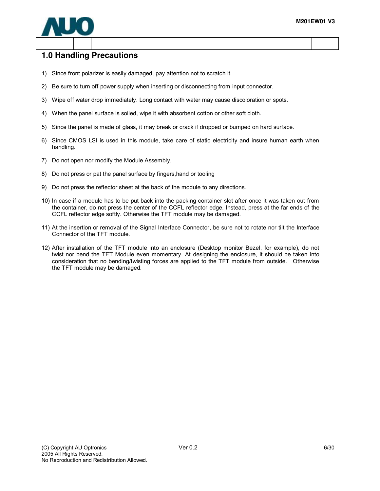

## **1.0 Handling Precautions**

- 1) Since front polarizer is easily damaged, pay attention not to scratch it.
- 2) Be sure to turn off power supply when inserting or disconnecting from input connector.
- 3) Wipe off water drop immediately. Long contact with water may cause discoloration or spots.
- 4) When the panel surface is soiled, wipe it with absorbent cotton or other soft cloth.
- 5) Since the panel is made of glass, it may break or crack if dropped or bumped on hard surface.
- 6) Since CMOS LSI is used in this module, take care of static electricity and insure human earth when handling.
- 7) Do not open nor modify the Module Assembly.
- 8) Do not press or pat the panel surface by fingers,hand or tooling
- 9) Do not press the reflector sheet at the back of the module to any directions.
- 10) In case if a module has to be put back into the packing container slot after once it was taken out from the container, do not press the center of the CCFL reflector edge. Instead, press at the far ends of the CCFL reflector edge softly. Otherwise the TFT module may be damaged.
- 11) At the insertion or removal of the Signal Interface Connector, be sure not to rotate nor tilt the Interface Connector of the TFT module.
- 12) After installation of the TFT module into an enclosure (Desktop monitor Bezel, for example), do not twist nor bend the TFT Module even momentary. At designing the enclosure, it should be taken into consideration that no bending/twisting forces are applied to the TFT module from outside. Otherwise the TFT module may be damaged.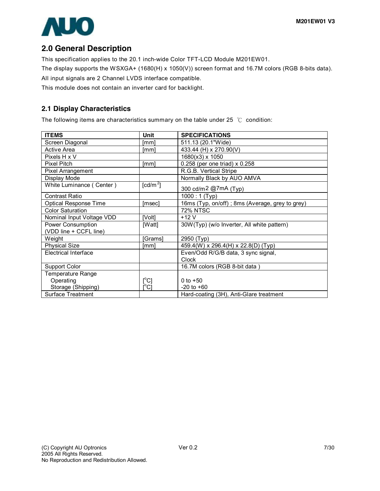

## **2.0 General Description**

This specification applies to the 20.1 inch-wide Color TFT-LCD Module M201EW01.

The display supports the WSXGA+ (1680(H) x 1050(V)) screen format and 16.7M colors (RGB 8-bits data). All input signals are 2 Channel LVDS interface compatible.

This module does not contain an inverter card for backlight.

### **2.1 Display Characteristics**

The following items are characteristics summary on the table under 25 ℃ condition:

| <b>ITEMS</b>                                | Unit                                    | <b>SPECIFICATIONS</b>                           |
|---------------------------------------------|-----------------------------------------|-------------------------------------------------|
| Screen Diagonal                             | [mm]                                    | 511.13 (20.1"Wide)                              |
| <b>Active Area</b>                          | [mm]                                    | 433.44 (H) x 270.90(V)                          |
| Pixels H x V                                |                                         | 1680(x3) x 1050                                 |
| Pixel Pitch                                 | [mm]                                    | 0.258 (per one triad) x 0.258                   |
| Pixel Arrangement                           |                                         | R.G.B. Vertical Stripe                          |
| Display Mode                                |                                         | Normally Black by AUO AMVA                      |
| White Luminance (Center)                    | $\text{\rm [cd/m}^2\text{\rm ]}$        | 300 cd/m2 @7mA (Typ)                            |
| <b>Contrast Ratio</b>                       |                                         | $1000:1$ (Typ)                                  |
| <b>Optical Response Time</b>                | [msec]                                  | 16ms (Typ, on/off); 8ms (Average, grey to grey) |
| <b>Color Saturation</b>                     |                                         | <b>72% NTSC</b>                                 |
| Nominal Input Voltage VDD                   | [Volt]                                  | $+12V$                                          |
| Power Consumption<br>(VDD line + CCFL line) | [Watt]                                  | 30W(Typ) (w/o Inverter, All white pattern)      |
| Weight                                      | [Grams]                                 | 2950 (Typ)                                      |
| <b>Physical Size</b>                        | [mm]                                    | 459.4(W) x 296.4(H) x 22.8(D) (Typ)             |
| Electrical Interface                        |                                         | Even/Odd R/G/B data, 3 sync signal,<br>Clock    |
| Support Color                               |                                         | 16.7M colors (RGB 8-bit data)                   |
| Temperature Range                           |                                         |                                                 |
| Operating                                   | $\mathsf{I}^\circ\mathsf{C}$            | 0 to $+50$                                      |
| Storage (Shipping)                          | $\mathsf{I}^\circ\mathsf{C} \mathsf{I}$ | $-20$ to $+60$                                  |
| <b>Surface Treatment</b>                    |                                         | Hard-coating (3H), Anti-Glare treatment         |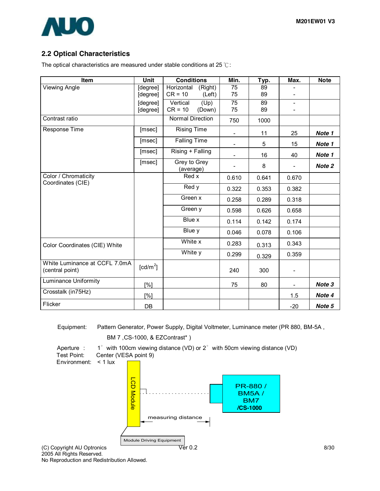

### **2.2 Optical Characteristics**

The optical characteristics are measured under stable conditions at 25 ℃:

| Item                                             | <b>Unit</b>                      | <b>Conditions</b>         | Min.                     | Typ.  | Max.                     | <b>Note</b> |
|--------------------------------------------------|----------------------------------|---------------------------|--------------------------|-------|--------------------------|-------------|
| Viewing Angle                                    | [degree]                         | Horizontal<br>(Right)     | 75                       | 89    |                          |             |
|                                                  | [degree]                         | $CR = 10$<br>(Left)       | 75                       | 89    |                          |             |
|                                                  | [degree]                         | Vertical<br>(Up)          | 75                       | 89    | $\overline{\phantom{a}}$ |             |
|                                                  | [degree]                         | $CR = 10$<br>(Down)       | 75                       | 89    |                          |             |
| Contrast ratio                                   |                                  | <b>Normal Direction</b>   | 750                      | 1000  |                          |             |
| Response Time                                    | [msec]                           | <b>Rising Time</b>        | $\overline{\phantom{a}}$ | 11    | 25                       | Note 1      |
|                                                  | [msec]                           | <b>Falling Time</b>       | $\overline{\phantom{a}}$ | 5     | 15                       | Note 1      |
|                                                  | [msec]                           | Rising + Falling          | $\overline{\phantom{a}}$ | 16    | 40                       | Note 1      |
|                                                  | [msec]                           | Grey to Grey<br>(average) | $\blacksquare$           | 8     | $\blacksquare$           | Note 2      |
| Color / Chromaticity<br>Coordinates (CIE)        |                                  | Red x                     | 0.610                    | 0.641 | 0.670                    |             |
|                                                  | Red y                            |                           | 0.322                    | 0.353 | 0.382                    |             |
|                                                  |                                  | Green x                   | 0.258                    | 0.289 | 0.318                    |             |
|                                                  |                                  | Green y                   | 0.598                    | 0.626 | 0.658                    |             |
|                                                  |                                  | Blue x                    | 0.114                    | 0.142 | 0.174                    |             |
|                                                  |                                  | Blue y                    | 0.046                    | 0.078 | 0.106                    |             |
| Color Coordinates (CIE) White                    |                                  | White x                   | 0.283                    | 0.313 | 0.343                    |             |
|                                                  |                                  | White y                   | 0.299                    | 0.329 | 0.359                    |             |
| White Luminance at CCFL 7.0mA<br>(central point) | $\text{\rm [cd/m}^2\text{\rm ]}$ |                           | 240                      | 300   | $\overline{\phantom{a}}$ |             |
| <b>Luminance Uniformity</b>                      | [%]                              |                           | 75                       | 80    | $\overline{\phantom{a}}$ | Note 3      |
| Crosstalk (in75Hz)                               | [%]                              |                           |                          |       | 1.5                      | Note 4      |
| Flicker                                          | DB                               |                           |                          |       | $-20$                    | Note 5      |

Equipment: Pattern Generator, Power Supply, Digital Voltmeter, Luminance meter (PR 880, BM-5A ,

BM 7 ,CS-1000, & EZContrast\* )



No Reproduction and Redistribution Allowed.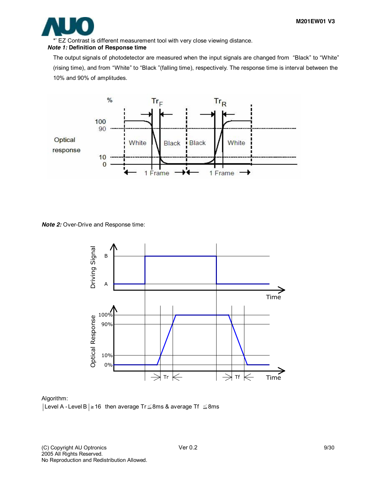

\*' EZ Contrast is different measurement tool with very close viewing distance.

#### *Note 1:* **Definition of Response time**

The output signals of photodetector are measured when the input signals are changed from "Black" to "White" (rising time), and from "White" to "Black "(falling time), respectively. The response time is interval between the 10% and 90% of amplitudes.



#### *Note 2:* Over-Drive and Response time:



#### Algorithm:

Level A - Level B  $\geq 16$  then average Tr  $\leq$ 8ms & average Tf  $\leq$ 8ms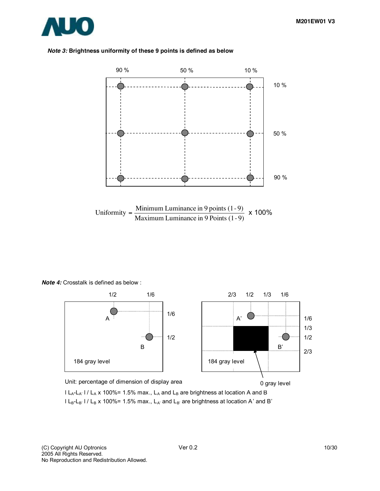

#### *Note 3:* **Brightness uniformity of these 9 points is defined as below**



*Note 4:* Crosstalk is defined as below :



Unit: percentage of dimension of display area  $l L_A - L_{A'}$  l /  $L_A$  x 100%= 1.5% max.,  $L_A$  and  $L_B$  are brightness at location A and B 0 gray level

 $l L_B-L_B'$  l /  $L_B$  x 100%= 1.5% max.,  $L_{A'}$  and  $L_{B'}$  are brightness at location A' and B'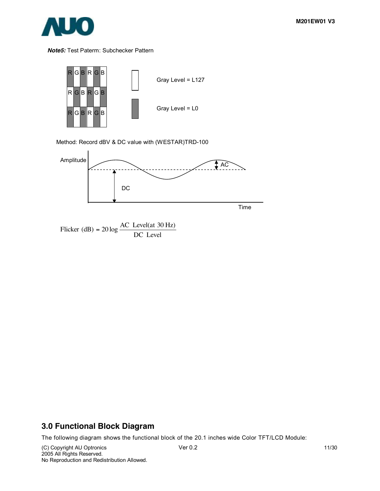

#### *Note5:* Test Paterm: Subchecker Pattern



Method: Record dBV & DC value with (WESTAR)TRD-100



Flicker (dB) =  $20 \log \frac{AC \text{ Level(at 30 Hz)}}{DC \text{ Level}}$ 

## **3.0 Functional Block Diagram**

The following diagram shows the functional block of the 20.1 inches wide Color TFT/LCD Module:

(C) Copyright AU Optronics Ver 0.2 11/30 2005 All Rights Reserved. No Reproduction and Redistribution Allowed.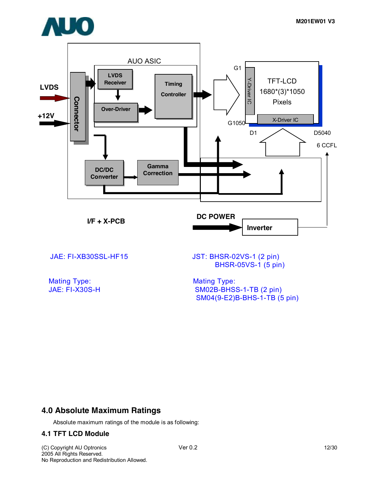



Mating Type: Mating Type: Mating Type: Mating Type: Mating Type: Mating Type: Mating Type: Mating Type: Mating Type: Mating Type: Mating Type: Mating Type: Mating Type: Mating Type: Mating Type: Mating Type: Mating Type: M

BHSR-05VS-1 (5 pin)

SM02B-BHSS-1-TB (2 pin) SM04(9-E2)B-BHS-1-TB (5 pin)

## **4.0 Absolute Maximum Ratings**

Absolute maximum ratings of the module is as following:

#### **4.1 TFT LCD Module**

(C) Copyright AU Optronics Ver 0.2 12/30 2005 All Rights Reserved. No Reproduction and Redistribution Allowed.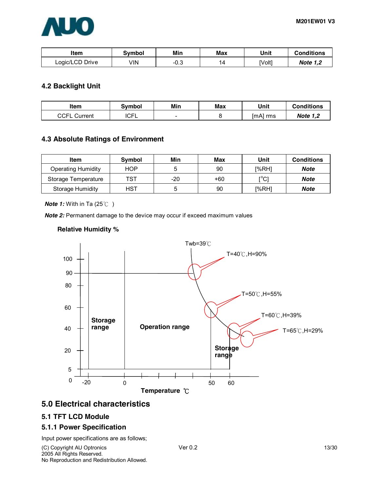| Item            | Svmbol | Min        | Max | Unit   | <b>Conditions</b> |
|-----------------|--------|------------|-----|--------|-------------------|
| Logic/LCD Drive | √lN    | ററ<br>-v.J | 14  | [Volt] | <b>Note 1.2</b>   |

### **4.2 Backlight Unit**

| ltem              | Svmbol      | Min                      | Max | Unit     | <b>Conditions</b> |
|-------------------|-------------|--------------------------|-----|----------|-------------------|
| CCFL<br>. Current | <b>ICFL</b> | $\overline{\phantom{0}}$ |     | [mA] rms | <b>Note 1,2</b>   |

#### **4.3 Absolute Ratings of Environment**

| Item                    | Symbol     | Min | Max | Unit  | <b>Conditions</b> |
|-------------------------|------------|-----|-----|-------|-------------------|
| Operating Humidity      | <b>HOP</b> |     | 90  | I%RH1 | Note              |
| Storage Temperature     | TST        | -20 | +60 | [°C]  | Note              |
| <b>Storage Humidity</b> | HST        |     | 90  | [%RH] | Note              |

*Note 1:* With in Ta (25℃)

**Note 2:** Permanent damage to the device may occur if exceed maximum values

#### **Relative Humidity %**



## **5.0 Electrical characteristics**

#### **5.1 TFT LCD Module**

#### **5.1.1 Power Specification**

Input power specifications are as follows;

(C) Copyright AU Optronics Ver 0.2 13/30 2005 All Rights Reserved. No Reproduction and Redistribution Allowed.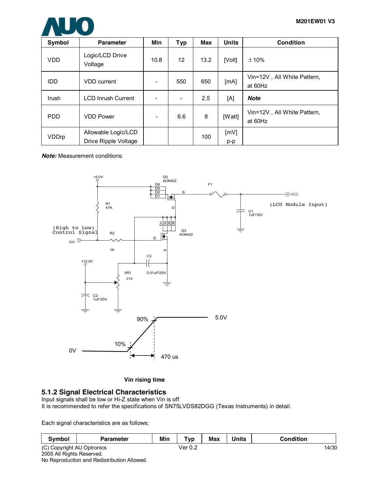

| Symbol     | <b>Parameter</b>                            | Min  | <b>Typ</b>               | Max  | <b>Units</b> | <b>Condition</b>                       |
|------------|---------------------------------------------|------|--------------------------|------|--------------|----------------------------------------|
| <b>VDD</b> | Logic/LCD Drive<br>Voltage                  | 10.8 | 12 <sup>2</sup>          | 13.2 | [Volt]       | $\pm 10\%$                             |
| <b>IDD</b> | <b>VDD</b> current                          |      | 550                      | 650  | [mA]         | Vin=12V, All White Pattern,<br>at 60Hz |
| Irush      | <b>LCD Inrush Current</b>                   |      | $\overline{\phantom{a}}$ | 2.5  | [A]          | <b>Note</b>                            |
| <b>PDD</b> | <b>VDD Power</b>                            |      | 6.6                      | 8    | [Watt]       | Vin=12V, All White Pattern,<br>at 60Hz |
| VDDrp      | Allowable Logic/LCD<br>Drive Ripple Voltage |      |                          | 100  | [MV]<br>p-p  |                                        |

*Note:* Measurement conditions:



**Vin rising time**

#### **5.1.2 Signal Electrical Characteristics**

Input signals shall be low or Hi-Z state when Vin is off It is recommended to refer the specifications of SN75LVDS82DGG (Texas Instruments) in detail.

Each signal characteristics are as follows;

| Symbol                                                 | <b>Parameter</b> | Min | <b>The Contract of the Contract of the Contract of the Contract of the Contract of the Contract of the Contract of The Contract of The Contract of The Contract of The Contract of The Contract of The Contract of The Contract </b><br>'yp | <b>Max</b> | <b>Units</b> | Condition |
|--------------------------------------------------------|------------------|-----|---------------------------------------------------------------------------------------------------------------------------------------------------------------------------------------------------------------------------------------------|------------|--------------|-----------|
| $(C)$ $\cap$<br>Copyright AU<br><sup>1</sup> Optronics |                  |     | $\sim$ $\sim$<br>√er<br>v.z                                                                                                                                                                                                                 |            |              | 14/30     |

2005 All Rights Reserved. No Reproduction and Redistribution Allowed.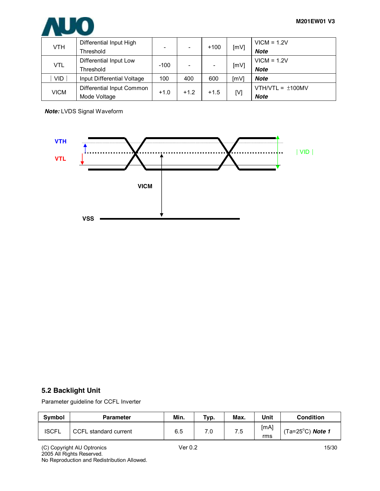

| VTH         | Differential Input High<br>Threshold |        | $\overline{\phantom{0}}$ | $+100$ | [mV] | $VICM = 1.2V$<br><b>Note</b> |
|-------------|--------------------------------------|--------|--------------------------|--------|------|------------------------------|
| VTL         | Differential Input Low<br>Threshold  | $-100$ |                          |        | [mV] | $VICM = 1.2V$<br><b>Note</b> |
| <b>VID</b>  | Input Differential Voltage           | 100    | 400                      | 600    | [mV] | Note                         |
| <b>VICM</b> | Differential Input Common            | $+1.0$ | $+1.2$                   | $+1.5$ | [V]  | VTH/VTL = $\pm$ 100MV        |
|             | Mode Voltage                         |        |                          |        |      | <b>Note</b>                  |

*Note:* LVDS Signal Waveform



### **5.2 Backlight Unit**

Parameter guideline for CCFL Inverter

| <b>Symbol</b> | <b>Parameter</b>      | Min. | Typ. | Max. | Unit        | <b>Condition</b>            |
|---------------|-----------------------|------|------|------|-------------|-----------------------------|
| <b>ISCFL</b>  | CCFL standard current | 6.5  | 7.0  | 7.5  | [mA]<br>rms | (Ta=25 $^{\circ}$ C) Note 1 |

(C) Copyright AU Optronics Ver 0.2 15/30 2005 All Rights Reserved. No Reproduction and Redistribution Allowed.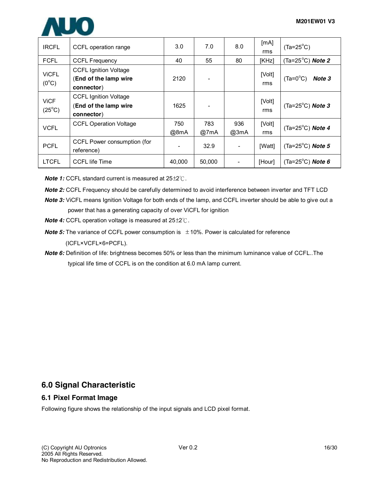

| <b>IRCFL</b>                   | CCFL operation range                                                | 3.0         | 7.0         | 8.0         | [mA]<br>rms   | $(Ta=25^{\circ}C)$               |
|--------------------------------|---------------------------------------------------------------------|-------------|-------------|-------------|---------------|----------------------------------|
| <b>FCFL</b>                    | <b>CCFL Frequency</b>                                               | 40          | 55          | 80          | [KHz]         | (Ta= $25^{\circ}$ C) Note 2      |
| <b>VICFL</b><br>$(0^{\circ}C)$ | <b>CCFL Ignition Voltage</b><br>(End of the lamp wire<br>connector) | 2120        |             |             | [Volt]<br>rms | $(Ta=0^{\circ}C)$<br>Note 3      |
| <b>ViCF</b><br>$(25^{\circ}C)$ | <b>CCFL Ignition Voltage</b><br>(End of the lamp wire<br>connector) | 1625        |             |             | [Volt]<br>rms | $(Ta=25^{\circ}C)$ <i>Note</i> 3 |
| <b>VCFL</b>                    | <b>CCFL Operation Voltage</b>                                       | 750<br>@8mA | 783<br>@7mA | 936<br>@3mA | [Volt]<br>rms | (Ta=25 $^{\circ}$ C) Note 4      |
| <b>PCFL</b>                    | CCFL Power consumption (for<br>reference)                           |             | 32.9        |             | <b>IWattl</b> | (Ta=25 $^{\circ}$ C) Note 5      |
| <b>LTCFL</b>                   | <b>CCFL life Time</b>                                               | 40,000      | 50,000      |             | [Hour]        | (Ta=25 $^{\circ}$ C) Note 6      |

*Note 1:* CCFL standard current is measured at 25±2℃.

- *Note 2:* CCFL Frequency should be carefully determined to avoid interference between inverter and TFT LCD
- *Note 3:* ViCFL means Ignition Voltage for both ends of the lamp, and CCFL inverter should be able to give out a

power that has a generating capacity of over ViCFL for ignition

- *Note 4:* CCFL operation voltage is measured at 25±2℃.
- **Note 5:** The variance of CCFL power consumption is  $\pm 10\%$ . Power is calculated for reference (ICFL×VCFL×6=PCFL).
- *Note 6:* Definition of life: brightness becomes 50% or less than the minimum luminance value of CCFL..The typical life time of CCFL is on the condition at 6.0 mA lamp current.

## **6.0 Signal Characteristic**

#### **6.1 Pixel Format Image**

Following figure shows the relationship of the input signals and LCD pixel format.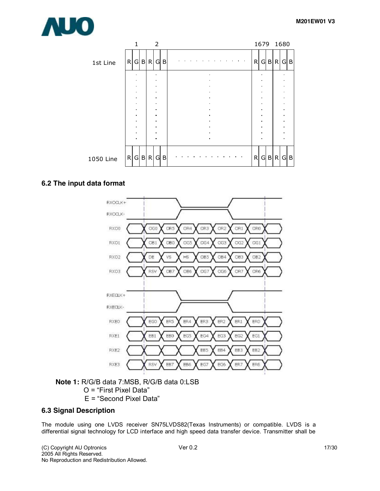



#### **6.2 The input data format**



#### **Note 1:** R/G/B data 7:MSB, R/G/B data 0:LSB O = "First Pixel Data" E = "Second Pixel Data"

#### **6.3 Signal Description**

The module using one LVDS receiver SN75LVDS82(Texas Instruments) or compatible. LVDS is a differential signal technology for LCD interface and high speed data transfer device. Transmitter shall be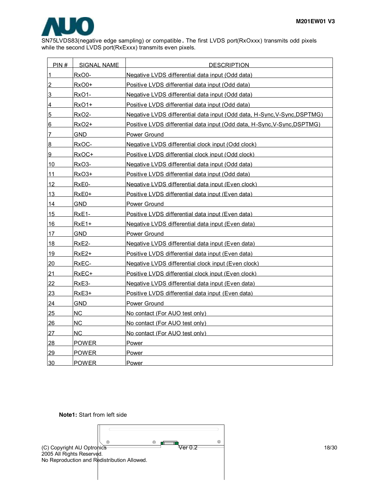

SN75LVDS83(negative edge sampling) or compatible **.** The first LVDS port(RxOxxx) transmits odd pixels while the second LVDS port(RxExxx) transmits even pixels.

| PIN#           | SIGNAL NAME        | <b>DESCRIPTION</b>                                                       |
|----------------|--------------------|--------------------------------------------------------------------------|
| 1              | RxO0-              | Negative LVDS differential data input (Odd data)                         |
| $\overline{2}$ | RxO0+              | Positive LVDS differential data input (Odd data)                         |
| 3              | RxO <sub>1</sub> - | Negative LVDS differential data input (Odd data)                         |
| 4              | RxO1+              | Positive LVDS differential data input (Odd data)                         |
| 5              | RxO <sub>2</sub> - | Negative LVDS differential data input (Odd data, H-Sync, V-Sync, DSPTMG) |
| 16             | $RxO2+$            | Positive LVDS differential data input (Odd data, H-Sync, V-Sync, DSPTMG) |
| 7              | GND.               | Power Ground                                                             |
| 8              | RxOC-              | Negative LVDS differential clock input (Odd clock)                       |
| 9              | RxOC+              | Positive LVDS differential clock input (Odd clock)                       |
| 10             | RxO3-              | Negative LVDS differential data input (Odd data)                         |
| 11             | RxO3+              | Positive LVDS differential data input (Odd data)                         |
| 12             | RxE0-              | Negative LVDS differential data input (Even clock)                       |
| 13             | RxE0+              | Positive LVDS differential data input (Even data)                        |
| 14             | GND                | Power Ground                                                             |
| 15             | RxE1-              | Positive LVDS differential data input (Even data)                        |
| 16             | RxE1+              | Negative LVDS differential data input (Even data)                        |
| 17             | GND.               | Power Ground                                                             |
| 18             | RxE2-              | Negative LVDS differential data input (Even data)                        |
| 19             | RxE2+              | Positive LVDS differential data input (Even data)                        |
| 20             | RxEC-              | Negative LVDS differential clock input (Even clock)                      |
| 21             | RxEC+              | Positive LVDS differential clock input (Even clock)                      |
| 22             | RxE3-              | Negative LVDS differential data input (Even data)                        |
| 23             | RxE3+              | Positive LVDS differential data input (Even data)                        |
| 24             | GND.               | Power Ground                                                             |
| 25             | ΝC                 | No contact (For AUO test only)                                           |
| 26             | <b>NC</b>          | No contact (For AUO test only)                                           |
| 27             | NC.                | No contact (For AUO test only)                                           |
| 28             | <b>POWER</b>       | Power                                                                    |
| 29             | <b>POWER</b>       | Power                                                                    |
| 30             | <b>POWER</b>       | Power                                                                    |

**Note1:** Start from left side

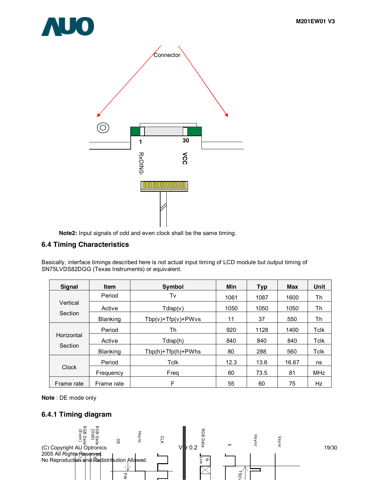



**Note2:** Input signals of odd and even clock shall be the same timing.

#### **6.4 Timing Characteristics**

Basically, interface timings described here is not actual input timing of LCD module but output timing of SN75LVDS82DGG (Texas Instruments) or equivalent.

| <b>Signal</b> | <b>Item</b>     | Symbol                   | Min  | <b>Typ</b> | Max   | Unit       |
|---------------|-----------------|--------------------------|------|------------|-------|------------|
|               | Period          | T٧                       | 1061 | 1087       | 1600  | Th         |
| Vertical      | Active          | Tdisp(v)                 | 1050 | 1050       | 1050  | Th         |
| Section       | <b>Blanking</b> | $Tbp(v) + Tfp(v) + PWvs$ | 11   | 37         | 550   | Th         |
|               | Period          | Th                       | 920  | 1128       | 1400  | Tclk       |
| Horizontal    | Active          | Tdisp(h)                 | 840  | 840        | 840   | Tclk       |
| Section       | <b>Blanking</b> | $Tbp(h) + Tfp(h) + PWhs$ | 80   | 288        | 560   | Tclk       |
|               | Period          | Tclk                     | 12.3 | 13.6       | 16.67 | ns         |
| <b>Clock</b>  | Frequency       | Frea                     | 60   | 73.5       | 81    | <b>MHz</b> |
| Frame rate    | Frame rate      | F                        | 55   | 60         | 75    | Hz         |

**Note** : DE mode only

#### **6.4.1 Timing diagram**

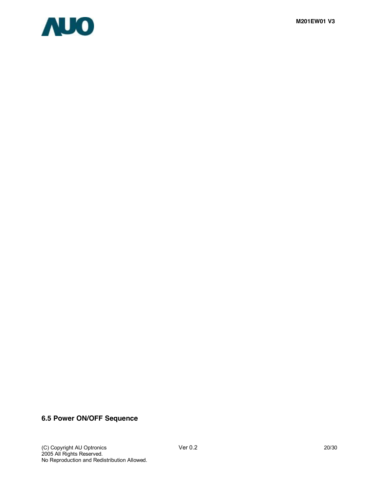



## **6.5 Power ON/OFF Sequence**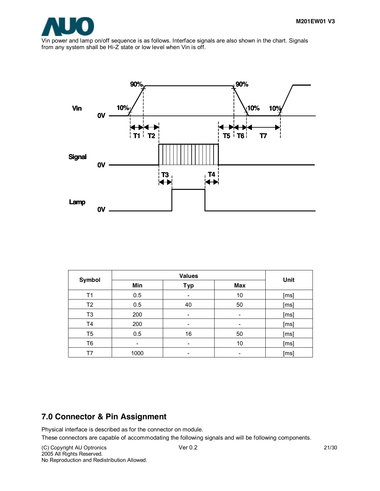

Vin power and lamp on/off sequence is as follows. Interface signals are also shown in the chart. Signals from any system shall be Hi-Z state or low level when Vin is off.



| Symbol |      | Unit                     |     |      |
|--------|------|--------------------------|-----|------|
|        | Min  | Typ                      | Max |      |
| Τ1     | 0.5  | -                        | 10  | [ms] |
| T2     | 0.5  | 40                       | 50  | [ms] |
| T3     | 200  | ۰                        |     | [ms] |
| T4     | 200  | $\overline{\phantom{0}}$ |     | [ms] |
| T5     | 0.5  | 16                       | 50  | [ms] |
| T6     | -    | $\overline{\phantom{a}}$ | 10  | [ms] |
| Т7     | 1000 | ۰                        |     | [ms] |

## **7.0 Connector & Pin Assignment**

Physical interface is described as for the connector on module.

These connectors are capable of accommodating the following signals and will be following components.

(C) Copyright AU Optronics Ver 0.2 21/30 2005 All Rights Reserved. No Reproduction and Redistribution Allowed.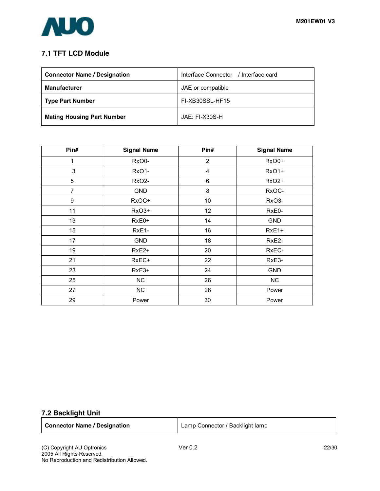

## **7.1 TFT LCD Module**

| <b>Connector Name / Designation</b> | Interface Connector / Interface card |
|-------------------------------------|--------------------------------------|
| <b>Manufacturer</b>                 | JAE or compatible                    |
| <b>Type Part Number</b>             | FI-XB30SSL-HF15                      |
| <b>Mating Housing Part Number</b>   | $JAF: FI-X30S-H$                     |

| Pin#             | <b>Signal Name</b> | Pin#            | <b>Signal Name</b> |
|------------------|--------------------|-----------------|--------------------|
| 1                | RxO0-              | $\overline{2}$  | RxO0+              |
| 3                | RxO1-              | 4               | RxO1+              |
| 5                | <b>RxO2-</b>       | 6               | RxO <sub>2+</sub>  |
| $\overline{7}$   | <b>GND</b>         | 8               | RxOC-              |
| $\boldsymbol{9}$ | RxOC+              | 10 <sup>1</sup> | RxO3-              |
| 11               | RxO3+              | 12              | RxE0-              |
| 13               | RxE0+              | 14              | <b>GND</b>         |
| 15               | RxE1-              | 16              | RxE1+              |
| 17               | <b>GND</b>         | 18              | RxE <sub>2</sub> - |
| 19               | RxE <sub>2+</sub>  | 20              | RxEC-              |
| 21               | RxEC+              | 22              | RxE3-              |
| 23               | RxE3+              | 24              | <b>GND</b>         |
| 25               | NC                 | 26              | <b>NC</b>          |
| 27               | <b>NC</b>          | 28              | Power              |
| 29               | Power              | 30              | Power              |

### **7.2 Backlight Unit**

| <b>Connector Name / Designation</b> | Lamp Connector / Backlight lamp |
|-------------------------------------|---------------------------------|
|                                     |                                 |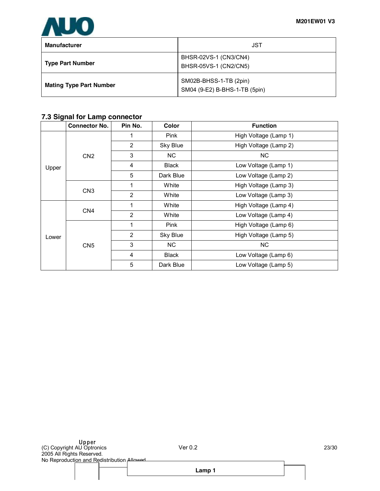

| <b>Manufacturer</b>            | JST                                                     |
|--------------------------------|---------------------------------------------------------|
| <b>Type Part Number</b>        | BHSR-02VS-1 (CN3/CN4)<br>BHSR-05VS-1 (CN2/CN5)          |
| <b>Mating Type Part Number</b> | SM02B-BHSS-1-TB (2pin)<br>SM04 (9-E2) B-BHS-1-TB (5pin) |

## **7.3 Signal for Lamp connector**

|       | <b>Connector No.</b> | Pin No. | Color        | <b>Function</b>       |
|-------|----------------------|---------|--------------|-----------------------|
|       |                      | 1       | <b>Pink</b>  | High Voltage (Lamp 1) |
|       |                      | 2       | Sky Blue     | High Voltage (Lamp 2) |
|       | CN <sub>2</sub>      | 3       | NC.          | <b>NC</b>             |
| Upper |                      | 4       | <b>Black</b> | Low Voltage (Lamp 1)  |
|       |                      | 5       | Dark Blue    | Low Voltage (Lamp 2)  |
|       | CN <sub>3</sub>      |         | White        | High Voltage (Lamp 3) |
|       |                      | 2       | White        | Low Voltage (Lamp 3)  |
|       | CN <sub>4</sub>      | 1       | White        | High Voltage (Lamp 4) |
|       |                      | 2       | White        | Low Voltage (Lamp 4)  |
|       |                      |         | Pink         | High Voltage (Lamp 6) |
| Lower |                      | 2       | Sky Blue     | High Voltage (Lamp 5) |
|       | CN <sub>5</sub>      | 3       | NC.          | <b>NC</b>             |
|       |                      | 4       | <b>Black</b> | Low Voltage (Lamp 6)  |
|       |                      | 5       | Dark Blue    | Low Voltage (Lamp 5)  |

**Lamp 1**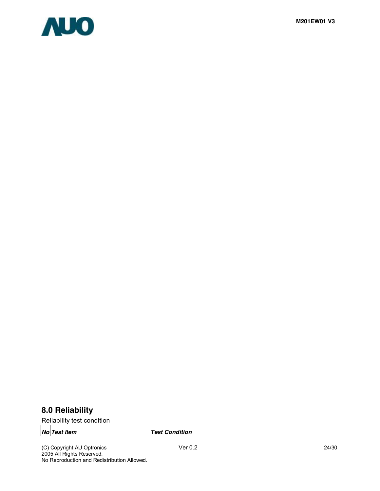

# **8.0 Reliability**

Reliability test condition

*Test Condition* 

(C) Copyright AU Optronics Ver 0.2 24/30 2005 All Rights Reserved. No Reproduction and Redistribution Allowed.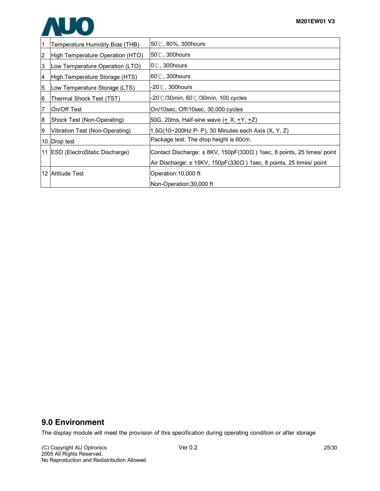

|    | Temperature Humidity Bias (THB)                                                                                        | $50^{\circ}$ C, 80%, 300 hours                                                  |  |
|----|------------------------------------------------------------------------------------------------------------------------|---------------------------------------------------------------------------------|--|
| 2  | High Temperature Operation (HTO)                                                                                       | $50^{\circ}$ C, 300 hours                                                       |  |
| 3  | Low Temperature Operation (LTO)                                                                                        | $0^{\circ}$ C, 300 hours                                                        |  |
| 4  | High Temperature Storage (HTS)                                                                                         | $60^{\circ}$ C, 300 hours                                                       |  |
| 5  | Low Temperature Storage (LTS)                                                                                          | -20 $\degree$ C, 300hours                                                       |  |
| 16 | Thermal Shock Test (TST)                                                                                               | -20℃/30min, 60℃/30min, 100 cycles                                               |  |
|    | On/Off Test                                                                                                            | On/10sec, Off/10sec, 30,000 cycles                                              |  |
| 8  | Shock Test (Non-Operating)                                                                                             | 50G, 20ms, Half-sine wave ( <u>+</u> X, <u>+</u> Y, <u>+</u> Z)                 |  |
| 19 | Vibration Test (Non-Operating)                                                                                         | 1.5G(10~200Hz P- P), 30 Minutes each Axis (X, Y, Z)                             |  |
|    | 10 Drop test                                                                                                           | Package test: The drop height is 60cm.                                          |  |
|    | 11 ESD (ElectroStatic Discharge)<br>Contact Discharge: $\pm$ 8KV, 150pF(330 $\Omega$ ) 1sec, 8 points, 25 times/ point |                                                                                 |  |
|    |                                                                                                                        | Air Discharge: $\pm$ 15KV, 150pF(330 $\Omega$ ) 1sec, 8 points, 25 times/ point |  |
|    | 12 Altitude Test                                                                                                       | Operation: 10,000 ft                                                            |  |
|    |                                                                                                                        | Non-Operation:30,000 ft                                                         |  |

## **9.0 Environment**

The display module will meet the provision of this specification during operating condition or after storage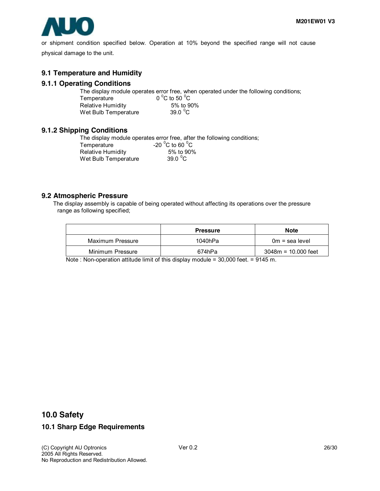

or shipment condition specified below. Operation at 10% beyond the specified range will not cause physical damage to the unit.

#### **9.1 Temperature and Humidity**

#### **9.1.1 Operating Conditions**

The display module operates error free, when operated under the following conditions;

| Temperature          | 0 $^{\circ}$ C to 50 $^{\circ}$ C |
|----------------------|-----------------------------------|
| Relative Humidity    | 5% to 90%                         |
| Wet Bulb Temperature | 39.0 $\mathrm{^0C}$               |

#### **9.1.2 Shipping Conditions**

The display module operates error free, after the following conditions; Temperature  $-20\,^{\circ}$ C to 60  $^{\circ}$ C Relative Humidity 5% to 90% Wet Bulb Temperature 39.0  $^{\circ}$ C

#### **9.2 Atmospheric Pressure**

The display assembly is capable of being operated without affecting its operations over the pressure range as following specified;

|                  | <b>Pressure</b> | <b>Note</b>           |
|------------------|-----------------|-----------------------|
| Maximum Pressure | 1040hPa         | $0m =$ sea level      |
| Minimum Pressure | 674hPa          | $3048m = 10.000$ feet |

Note : Non-operation attitude limit of this display module = 30,000 feet. = 9145 m.

### **10.0 Safety**

#### **10.1 Sharp Edge Requirements**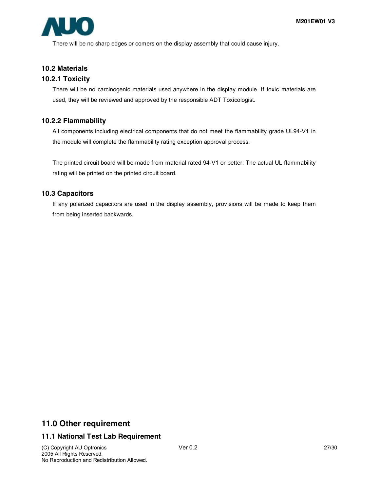

There will be no sharp edges or comers on the display assembly that could cause injury.

#### **10.2 Materials**

#### **10.2.1 Toxicity**

There will be no carcinogenic materials used anywhere in the display module. If toxic materials are used, they will be reviewed and approved by the responsible ADT Toxicologist.

#### **10.2.2 Flammability**

All components including electrical components that do not meet the flammability grade UL94-V1 in the module will complete the flammability rating exception approval process.

The printed circuit board will be made from material rated 94-V1 or better. The actual UL flammability rating will be printed on the printed circuit board.

#### **10.3 Capacitors**

If any polarized capacitors are used in the display assembly, provisions will be made to keep them from being inserted backwards.

## **11.0 Other requirement**

#### **11.1 National Test Lab Requirement**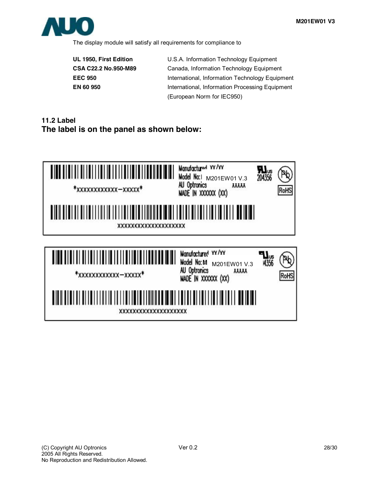

The display module will satisfy all requirements for compliance to

**UL 1950, First Edition** U.S.A. Information Technology Equipment **CSA C22.2 No.950-M89** Canada, Information Technology Equipment **EEC 950** International, Information Technology Equipment **EN 60 950** International, Information Processing Equipment (European Norm for IEC950)

# **11.2 Label The label is on the panel as shown below:**

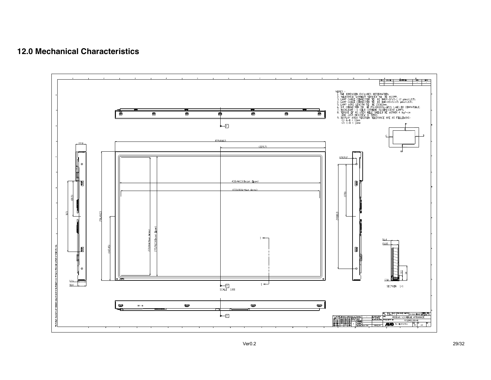## **12.0 Mechanical Characteristics**